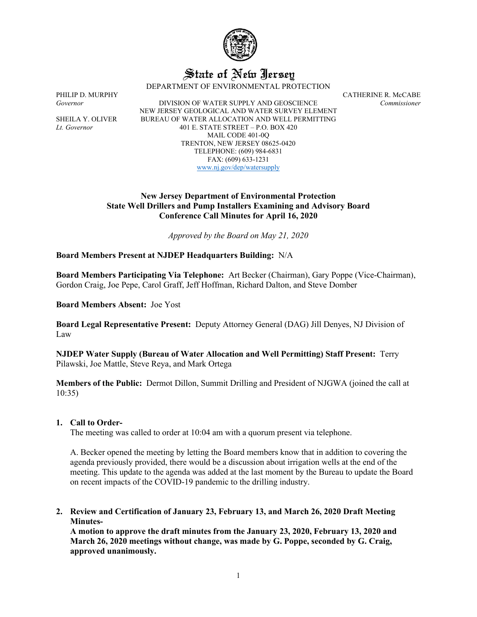

# State of New Jersey

DEPARTMENT OF ENVIRONMENTAL PROTECTION

PHILIP D. MURPHY CATHERINE R. McCABE *Governor* DIVISION OF WATER SUPPLY AND GEOSCIENCE *Commissioner* NEW JERSEY GEOLOGICAL AND WATER SURVEY ELEMENT SHEILA Y. OLIVER BUREAU OF WATER ALLOCATION AND WELL PERMITTING *Lt. Governor* 401 E. STATE STREET – P.O. BOX 420 MAIL CODE 401-0Q TRENTON, NEW JERSEY 08625-0420 TELEPHONE: (609) 984-6831 FAX: (609) 633-1231 [www.nj.gov/dep/watersupply](http://www.nj.gov/dep/watersupply)

## **New Jersey Department of Environmental Protection State Well Drillers and Pump Installers Examining and Advisory Board Conference Call Minutes for April 16, 2020**

*Approved by the Board on May 21, 2020*

**Board Members Present at NJDEP Headquarters Building:** N/A

**Board Members Participating Via Telephone:** Art Becker (Chairman), Gary Poppe (Vice-Chairman), Gordon Craig, Joe Pepe, Carol Graff, Jeff Hoffman, Richard Dalton, and Steve Domber

**Board Members Absent:** Joe Yost

**Board Legal Representative Present:** Deputy Attorney General (DAG) Jill Denyes, NJ Division of Law

**NJDEP Water Supply (Bureau of Water Allocation and Well Permitting) Staff Present:** Terry Pilawski, Joe Mattle, Steve Reya, and Mark Ortega

**Members of the Public:** Dermot Dillon, Summit Drilling and President of NJGWA (joined the call at 10:35)

## **1. Call to Order-**

The meeting was called to order at 10:04 am with a quorum present via telephone.

A. Becker opened the meeting by letting the Board members know that in addition to covering the agenda previously provided, there would be a discussion about irrigation wells at the end of the meeting. This update to the agenda was added at the last moment by the Bureau to update the Board on recent impacts of the COVID-19 pandemic to the drilling industry.

**2. Review and Certification of January 23, February 13, and March 26, 2020 Draft Meeting Minutes-**

**A motion to approve the draft minutes from the January 23, 2020, February 13, 2020 and March 26, 2020 meetings without change, was made by G. Poppe, seconded by G. Craig, approved unanimously.**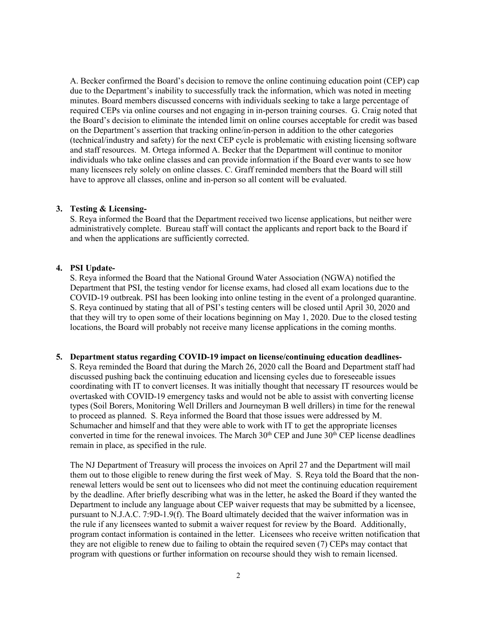A. Becker confirmed the Board's decision to remove the online continuing education point (CEP) cap due to the Department's inability to successfully track the information, which was noted in meeting minutes. Board members discussed concerns with individuals seeking to take a large percentage of required CEPs via online courses and not engaging in in-person training courses. G. Craig noted that the Board's decision to eliminate the intended limit on online courses acceptable for credit was based on the Department's assertion that tracking online/in-person in addition to the other categories (technical/industry and safety) for the next CEP cycle is problematic with existing licensing software and staff resources. M. Ortega informed A. Becker that the Department will continue to monitor individuals who take online classes and can provide information if the Board ever wants to see how many licensees rely solely on online classes. C. Graff reminded members that the Board will still have to approve all classes, online and in-person so all content will be evaluated.

#### **3. Testing & Licensing-**

S. Reya informed the Board that the Department received two license applications, but neither were administratively complete. Bureau staff will contact the applicants and report back to the Board if and when the applications are sufficiently corrected.

## **4. PSI Update-**

S. Reya informed the Board that the National Ground Water Association (NGWA) notified the Department that PSI, the testing vendor for license exams, had closed all exam locations due to the COVID-19 outbreak. PSI has been looking into online testing in the event of a prolonged quarantine. S. Reya continued by stating that all of PSI's testing centers will be closed until April 30, 2020 and that they will try to open some of their locations beginning on May 1, 2020. Due to the closed testing locations, the Board will probably not receive many license applications in the coming months.

## **5. Department status regarding COVID-19 impact on license/continuing education deadlines-**

S. Reya reminded the Board that during the March 26, 2020 call the Board and Department staff had discussed pushing back the continuing education and licensing cycles due to foreseeable issues coordinating with IT to convert licenses. It was initially thought that necessary IT resources would be overtasked with COVID-19 emergency tasks and would not be able to assist with converting license types (Soil Borers, Monitoring Well Drillers and Journeyman B well drillers) in time for the renewal to proceed as planned. S. Reya informed the Board that those issues were addressed by M. Schumacher and himself and that they were able to work with IT to get the appropriate licenses converted in time for the renewal invoices. The March  $30<sup>th</sup>$  CEP and June  $30<sup>th</sup>$  CEP license deadlines remain in place, as specified in the rule.

The NJ Department of Treasury will process the invoices on April 27 and the Department will mail them out to those eligible to renew during the first week of May. S. Reya told the Board that the nonrenewal letters would be sent out to licensees who did not meet the continuing education requirement by the deadline. After briefly describing what was in the letter, he asked the Board if they wanted the Department to include any language about CEP waiver requests that may be submitted by a licensee, pursuant to N.J.A.C. 7:9D-1.9(f). The Board ultimately decided that the waiver information was in the rule if any licensees wanted to submit a waiver request for review by the Board. Additionally, program contact information is contained in the letter. Licensees who receive written notification that they are not eligible to renew due to failing to obtain the required seven (7) CEPs may contact that program with questions or further information on recourse should they wish to remain licensed.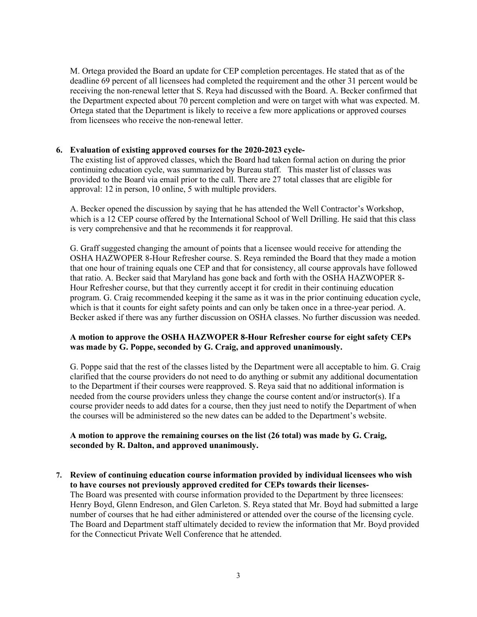M. Ortega provided the Board an update for CEP completion percentages. He stated that as of the deadline 69 percent of all licensees had completed the requirement and the other 31 percent would be receiving the non-renewal letter that S. Reya had discussed with the Board. A. Becker confirmed that the Department expected about 70 percent completion and were on target with what was expected. M. Ortega stated that the Department is likely to receive a few more applications or approved courses from licensees who receive the non-renewal letter.

# **6. Evaluation of existing approved courses for the 2020-2023 cycle-**

The existing list of approved classes, which the Board had taken formal action on during the prior continuing education cycle, was summarized by Bureau staff. This master list of classes was provided to the Board via email prior to the call. There are 27 total classes that are eligible for approval: 12 in person, 10 online, 5 with multiple providers.

A. Becker opened the discussion by saying that he has attended the Well Contractor's Workshop, which is a 12 CEP course offered by the International School of Well Drilling. He said that this class is very comprehensive and that he recommends it for reapproval.

G. Graff suggested changing the amount of points that a licensee would receive for attending the OSHA HAZWOPER 8-Hour Refresher course. S. Reya reminded the Board that they made a motion that one hour of training equals one CEP and that for consistency, all course approvals have followed that ratio. A. Becker said that Maryland has gone back and forth with the OSHA HAZWOPER 8- Hour Refresher course, but that they currently accept it for credit in their continuing education program. G. Craig recommended keeping it the same as it was in the prior continuing education cycle, which is that it counts for eight safety points and can only be taken once in a three-year period. A. Becker asked if there was any further discussion on OSHA classes. No further discussion was needed.

# **A motion to approve the OSHA HAZWOPER 8-Hour Refresher course for eight safety CEPs was made by G. Poppe, seconded by G. Craig, and approved unanimously.**

G. Poppe said that the rest of the classes listed by the Department were all acceptable to him. G. Craig clarified that the course providers do not need to do anything or submit any additional documentation to the Department if their courses were reapproved. S. Reya said that no additional information is needed from the course providers unless they change the course content and/or instructor(s). If a course provider needs to add dates for a course, then they just need to notify the Department of when the courses will be administered so the new dates can be added to the Department's website.

## **A motion to approve the remaining courses on the list (26 total) was made by G. Craig, seconded by R. Dalton, and approved unanimously.**

**7. Review of continuing education course information provided by individual licensees who wish to have courses not previously approved credited for CEPs towards their licenses-**The Board was presented with course information provided to the Department by three licensees: Henry Boyd, Glenn Endreson, and Glen Carleton. S. Reya stated that Mr. Boyd had submitted a large number of courses that he had either administered or attended over the course of the licensing cycle. The Board and Department staff ultimately decided to review the information that Mr. Boyd provided for the Connecticut Private Well Conference that he attended.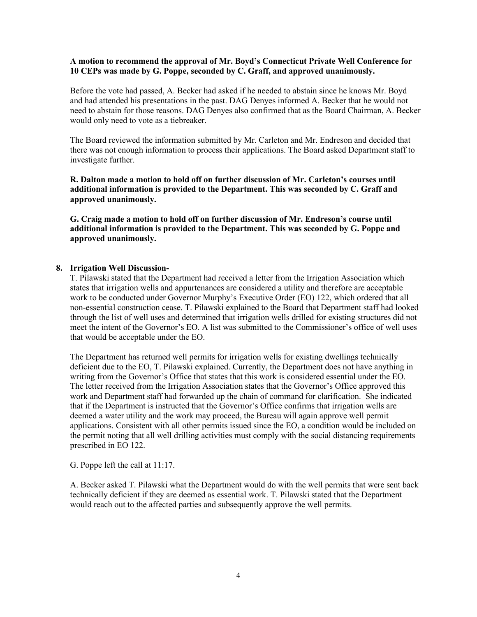## **A motion to recommend the approval of Mr. Boyd's Connecticut Private Well Conference for 10 CEPs was made by G. Poppe, seconded by C. Graff, and approved unanimously.**

Before the vote had passed, A. Becker had asked if he needed to abstain since he knows Mr. Boyd and had attended his presentations in the past. DAG Denyes informed A. Becker that he would not need to abstain for those reasons. DAG Denyes also confirmed that as the Board Chairman, A. Becker would only need to vote as a tiebreaker.

The Board reviewed the information submitted by Mr. Carleton and Mr. Endreson and decided that there was not enough information to process their applications. The Board asked Department staff to investigate further.

**R. Dalton made a motion to hold off on further discussion of Mr. Carleton's courses until additional information is provided to the Department. This was seconded by C. Graff and approved unanimously.**

**G. Craig made a motion to hold off on further discussion of Mr. Endreson's course until additional information is provided to the Department. This was seconded by G. Poppe and approved unanimously.**

## **8. Irrigation Well Discussion-**

T. Pilawski stated that the Department had received a letter from the Irrigation Association which states that irrigation wells and appurtenances are considered a utility and therefore are acceptable work to be conducted under Governor Murphy's Executive Order (EO) 122, which ordered that all non-essential construction cease. T. Pilawski explained to the Board that Department staff had looked through the list of well uses and determined that irrigation wells drilled for existing structures did not meet the intent of the Governor's EO. A list was submitted to the Commissioner's office of well uses that would be acceptable under the EO.

The Department has returned well permits for irrigation wells for existing dwellings technically deficient due to the EO, T. Pilawski explained. Currently, the Department does not have anything in writing from the Governor's Office that states that this work is considered essential under the EO. The letter received from the Irrigation Association states that the Governor's Office approved this work and Department staff had forwarded up the chain of command for clarification. She indicated that if the Department is instructed that the Governor's Office confirms that irrigation wells are deemed a water utility and the work may proceed, the Bureau will again approve well permit applications. Consistent with all other permits issued since the EO, a condition would be included on the permit noting that all well drilling activities must comply with the social distancing requirements prescribed in EO 122.

G. Poppe left the call at 11:17.

A. Becker asked T. Pilawski what the Department would do with the well permits that were sent back technically deficient if they are deemed as essential work. T. Pilawski stated that the Department would reach out to the affected parties and subsequently approve the well permits.